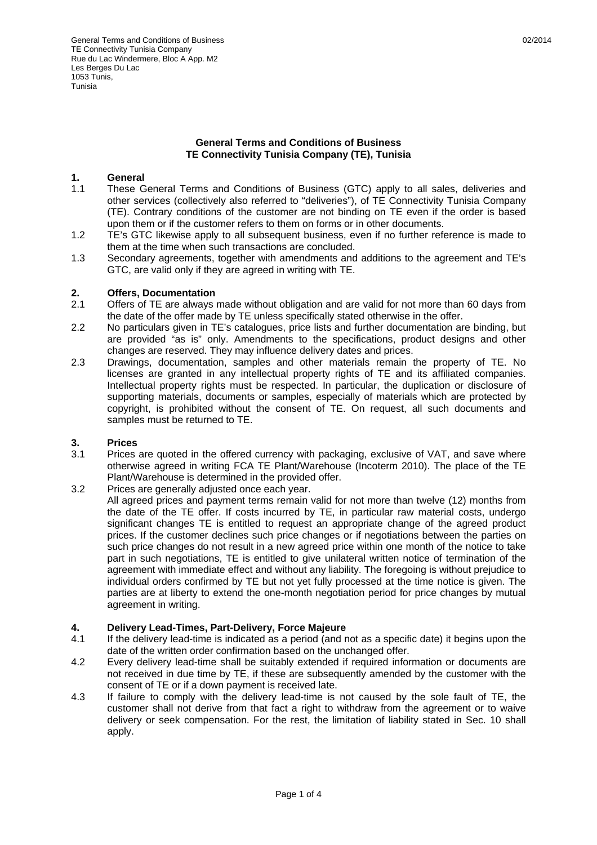## **General Terms and Conditions of Business TE Connectivity Tunisia Company (TE), Tunisia**

## **1. General**

- 1.1 These General Terms and Conditions of Business (GTC) apply to all sales, deliveries and other services (collectively also referred to "deliveries"), of TE Connectivity Tunisia Company (TE). Contrary conditions of the customer are not binding on TE even if the order is based upon them or if the customer refers to them on forms or in other documents.
- 1.2 TE's GTC likewise apply to all subsequent business, even if no further reference is made to them at the time when such transactions are concluded.
- 1.3 Secondary agreements, together with amendments and additions to the agreement and TE's GTC, are valid only if they are agreed in writing with TE.

# **2. Offers, Documentation**

- Offers of TE are always made without obligation and are valid for not more than 60 days from the date of the offer made by TE unless specifically stated otherwise in the offer.
- 2.2 No particulars given in TE's catalogues, price lists and further documentation are binding, but are provided "as is" only. Amendments to the specifications, product designs and other changes are reserved. They may influence delivery dates and prices.
- 2.3 Drawings, documentation, samples and other materials remain the property of TE. No licenses are granted in any intellectual property rights of TE and its affiliated companies. Intellectual property rights must be respected. In particular, the duplication or disclosure of supporting materials, documents or samples, especially of materials which are protected by copyright, is prohibited without the consent of TE. On request, all such documents and samples must be returned to TE.

## **3. Prices**

3.1 Prices are quoted in the offered currency with packaging, exclusive of VAT, and save where otherwise agreed in writing FCA TE Plant/Warehouse (Incoterm 2010). The place of the TE Plant/Warehouse is determined in the provided offer.

# 3.2 Prices are generally adjusted once each year.

All agreed prices and payment terms remain valid for not more than twelve (12) months from the date of the TE offer. If costs incurred by TE, in particular raw material costs, undergo significant changes TE is entitled to request an appropriate change of the agreed product prices. If the customer declines such price changes or if negotiations between the parties on such price changes do not result in a new agreed price within one month of the notice to take part in such negotiations, TE is entitled to give unilateral written notice of termination of the agreement with immediate effect and without any liability. The foregoing is without prejudice to individual orders confirmed by TE but not yet fully processed at the time notice is given. The parties are at liberty to extend the one-month negotiation period for price changes by mutual agreement in writing.

# **4. Delivery Lead-Times, Part-Delivery, Force Majeure**

- 4.1 If the delivery lead-time is indicated as a period (and not as a specific date) it begins upon the date of the written order confirmation based on the unchanged offer.
- 4.2 Every delivery lead-time shall be suitably extended if required information or documents are not received in due time by TE, if these are subsequently amended by the customer with the consent of TE or if a down payment is received late.
- 4.3 If failure to comply with the delivery lead-time is not caused by the sole fault of TE, the customer shall not derive from that fact a right to withdraw from the agreement or to waive delivery or seek compensation. For the rest, the limitation of liability stated in Sec. 10 shall apply.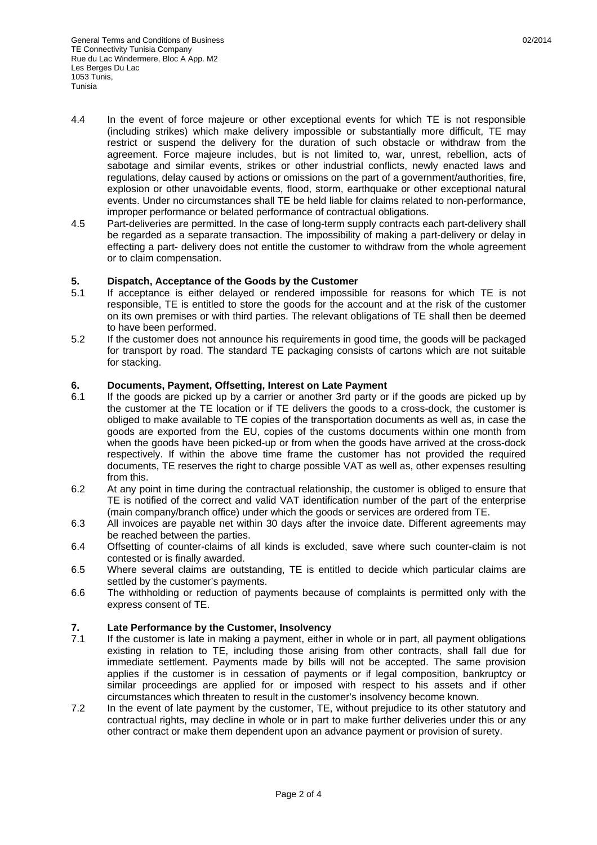- 4.4 In the event of force majeure or other exceptional events for which TE is not responsible (including strikes) which make delivery impossible or substantially more difficult, TE may restrict or suspend the delivery for the duration of such obstacle or withdraw from the agreement. Force majeure includes, but is not limited to, war, unrest, rebellion, acts of sabotage and similar events, strikes or other industrial conflicts, newly enacted laws and regulations, delay caused by actions or omissions on the part of a government/authorities, fire, explosion or other unavoidable events, flood, storm, earthquake or other exceptional natural events. Under no circumstances shall TE be held liable for claims related to non-performance, improper performance or belated performance of contractual obligations.
- 4.5 Part-deliveries are permitted. In the case of long-term supply contracts each part-delivery shall be regarded as a separate transaction. The impossibility of making a part-delivery or delay in effecting a part- delivery does not entitle the customer to withdraw from the whole agreement or to claim compensation.

## **5. Dispatch, Acceptance of the Goods by the Customer**

- 5.1 If acceptance is either delayed or rendered impossible for reasons for which TE is not responsible, TE is entitled to store the goods for the account and at the risk of the customer on its own premises or with third parties. The relevant obligations of TE shall then be deemed to have been performed.
- 5.2 If the customer does not announce his requirements in good time, the goods will be packaged for transport by road. The standard TE packaging consists of cartons which are not suitable for stacking.

#### **6. Documents, Payment, Offsetting, Interest on Late Payment**

- 6.1 If the goods are picked up by a carrier or another 3rd party or if the goods are picked up by the customer at the TE location or if TE delivers the goods to a cross-dock, the customer is obliged to make available to TE copies of the transportation documents as well as, in case the goods are exported from the EU, copies of the customs documents within one month from when the goods have been picked-up or from when the goods have arrived at the cross-dock respectively. If within the above time frame the customer has not provided the required documents, TE reserves the right to charge possible VAT as well as, other expenses resulting from this.
- 6.2 At any point in time during the contractual relationship, the customer is obliged to ensure that TE is notified of the correct and valid VAT identification number of the part of the enterprise (main company/branch office) under which the goods or services are ordered from TE.
- 6.3 All invoices are payable net within 30 days after the invoice date. Different agreements may be reached between the parties.
- 6.4 Offsetting of counter-claims of all kinds is excluded, save where such counter-claim is not contested or is finally awarded.
- 6.5 Where several claims are outstanding, TE is entitled to decide which particular claims are settled by the customer's payments.
- 6.6 The withholding or reduction of payments because of complaints is permitted only with the express consent of TE.

#### **7. Late Performance by the Customer, Insolvency**

- 7.1 If the customer is late in making a payment, either in whole or in part, all payment obligations existing in relation to TE, including those arising from other contracts, shall fall due for immediate settlement. Payments made by bills will not be accepted. The same provision applies if the customer is in cessation of payments or if legal composition, bankruptcy or similar proceedings are applied for or imposed with respect to his assets and if other circumstances which threaten to result in the customer's insolvency become known.
- 7.2 In the event of late payment by the customer, TE, without prejudice to its other statutory and contractual rights, may decline in whole or in part to make further deliveries under this or any other contract or make them dependent upon an advance payment or provision of surety.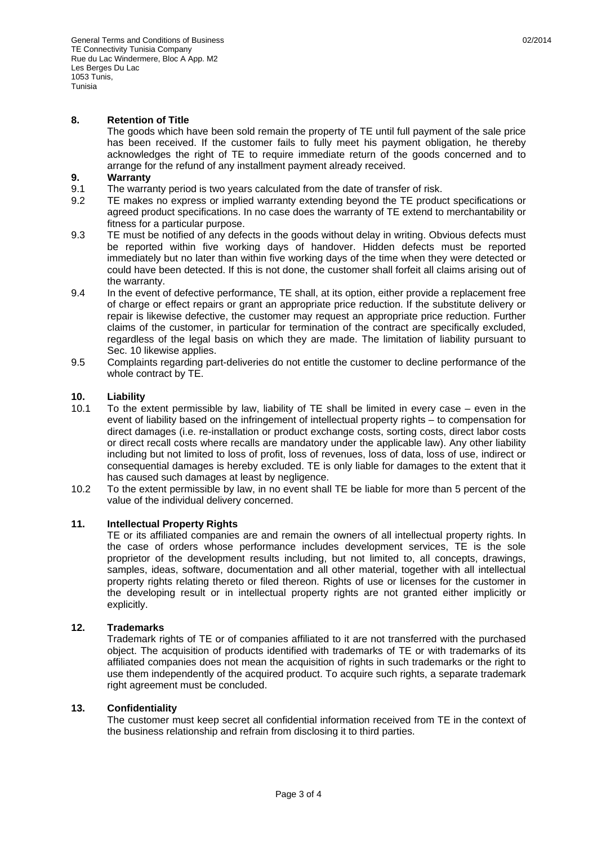## **8. Retention of Title**

 The goods which have been sold remain the property of TE until full payment of the sale price has been received. If the customer fails to fully meet his payment obligation, he thereby acknowledges the right of TE to require immediate return of the goods concerned and to arrange for the refund of any installment payment already received.

## **9. Warranty**

- 9.1 The warranty period is two years calculated from the date of transfer of risk.
- 9.2 TE makes no express or implied warranty extending beyond the TE product specifications or agreed product specifications. In no case does the warranty of TE extend to merchantability or fitness for a particular purpose.
- 9.3 TE must be notified of any defects in the goods without delay in writing. Obvious defects must be reported within five working days of handover. Hidden defects must be reported immediately but no later than within five working days of the time when they were detected or could have been detected. If this is not done, the customer shall forfeit all claims arising out of the warranty.
- 9.4 In the event of defective performance, TE shall, at its option, either provide a replacement free of charge or effect repairs or grant an appropriate price reduction. If the substitute delivery or repair is likewise defective, the customer may request an appropriate price reduction. Further claims of the customer, in particular for termination of the contract are specifically excluded, regardless of the legal basis on which they are made. The limitation of liability pursuant to Sec. 10 likewise applies.
- 9.5 Complaints regarding part-deliveries do not entitle the customer to decline performance of the whole contract by TE.

## **10. Liability**

- 10.1 To the extent permissible by law, liability of TE shall be limited in every case even in the event of liability based on the infringement of intellectual property rights – to compensation for direct damages (i.e. re-installation or product exchange costs, sorting costs, direct labor costs or direct recall costs where recalls are mandatory under the applicable law). Any other liability including but not limited to loss of profit, loss of revenues, loss of data, loss of use, indirect or consequential damages is hereby excluded. TE is only liable for damages to the extent that it has caused such damages at least by negligence.
- 10.2 To the extent permissible by law, in no event shall TE be liable for more than 5 percent of the value of the individual delivery concerned.

## **11. Intellectual Property Rights**

 TE or its affiliated companies are and remain the owners of all intellectual property rights. In the case of orders whose performance includes development services, TE is the sole proprietor of the development results including, but not limited to, all concepts, drawings, samples, ideas, software, documentation and all other material, together with all intellectual property rights relating thereto or filed thereon. Rights of use or licenses for the customer in the developing result or in intellectual property rights are not granted either implicitly or explicitly.

## **12. Trademarks**

 Trademark rights of TE or of companies affiliated to it are not transferred with the purchased object. The acquisition of products identified with trademarks of TE or with trademarks of its affiliated companies does not mean the acquisition of rights in such trademarks or the right to use them independently of the acquired product. To acquire such rights, a separate trademark right agreement must be concluded.

## **13. Confidentiality**

 The customer must keep secret all confidential information received from TE in the context of the business relationship and refrain from disclosing it to third parties.